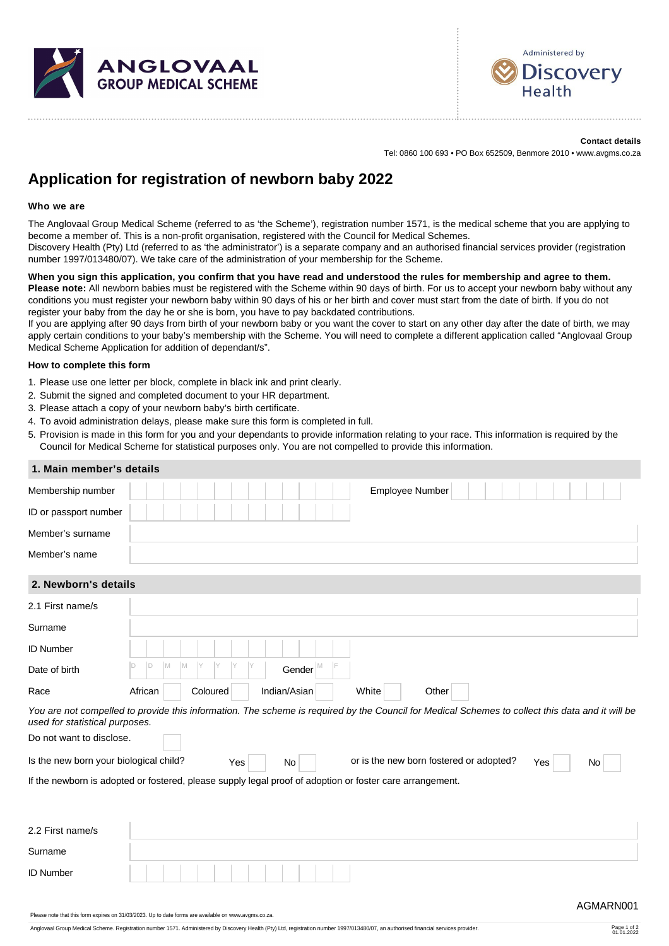



**Contact details** Tel: 0860 100 693 • PO Box 652509, Benmore 2010 • www.avgms.co.za

## **Application for registration of newborn baby 2022**

## **Who we are**

The Anglovaal Group Medical Scheme (referred to as 'the Scheme'), registration number 1571, is the medical scheme that you are applying to become a member of. This is a non-profit organisation, registered with the Council for Medical Schemes.

Discovery Health (Pty) Ltd (referred to as 'the administrator') is a separate company and an authorised financial services provider (registration number 1997/013480/07). We take care of the administration of your membership for the Scheme.

## **When you sign this application, you confirm that you have read and understood the rules for membership and agree to them. Please note:** All newborn babies must be registered with the Scheme within 90 days of birth. For us to accept your newborn baby without any

conditions you must register your newborn baby within 90 days of his or her birth and cover must start from the date of birth. If you do not register your baby from the day he or she is born, you have to pay backdated contributions.

If you are applying after 90 days from birth of your newborn baby or you want the cover to start on any other day after the date of birth, we may apply certain conditions to your baby's membership with the Scheme. You will need to complete a different application called "Anglovaal Group Medical Scheme Application for addition of dependant/s".

## **How to complete this form**

- 1. Please use one letter per block, complete in black ink and print clearly.
- 2. Submit the signed and completed document to your HR department.
- 3. Please attach a copy of your newborn baby's birth certificate.
- 4. To avoid administration delays, please make sure this form is completed in full.
- 5. Provision is made in this form for you and your dependants to provide information relating to your race. This information is required by the Council for Medical Scheme for statistical purposes only. You are not compelled to provide this information.

| 1. Main member's details                                                                                                                                                           |         |   |     |   |          |     |  |    |                             |  |       |  |                                         |  |  |     |  |    |                                                                    |
|------------------------------------------------------------------------------------------------------------------------------------------------------------------------------------|---------|---|-----|---|----------|-----|--|----|-----------------------------|--|-------|--|-----------------------------------------|--|--|-----|--|----|--------------------------------------------------------------------|
| Membership number                                                                                                                                                                  |         |   |     |   |          |     |  |    |                             |  |       |  | Employee Number                         |  |  |     |  |    |                                                                    |
| ID or passport number                                                                                                                                                              |         |   |     |   |          |     |  |    |                             |  |       |  |                                         |  |  |     |  |    |                                                                    |
| Member's surname                                                                                                                                                                   |         |   |     |   |          |     |  |    |                             |  |       |  |                                         |  |  |     |  |    |                                                                    |
| Member's name                                                                                                                                                                      |         |   |     |   |          |     |  |    |                             |  |       |  |                                         |  |  |     |  |    |                                                                    |
| 2. Newborn's details                                                                                                                                                               |         |   |     |   |          |     |  |    |                             |  |       |  |                                         |  |  |     |  |    |                                                                    |
| 2.1 First name/s                                                                                                                                                                   |         |   |     |   |          |     |  |    |                             |  |       |  |                                         |  |  |     |  |    |                                                                    |
| Surname                                                                                                                                                                            |         |   |     |   |          |     |  |    |                             |  |       |  |                                         |  |  |     |  |    |                                                                    |
| <b>ID Number</b>                                                                                                                                                                   |         |   |     |   |          |     |  |    |                             |  |       |  |                                         |  |  |     |  |    |                                                                    |
| Date of birth                                                                                                                                                                      | D       | D | IM. | M | IY       | IY  |  |    | Gender $\vert^{\mathbb{M}}$ |  |       |  |                                         |  |  |     |  |    |                                                                    |
| Race                                                                                                                                                                               | African |   |     |   | Coloured |     |  |    | Indian/Asian                |  | White |  | Other                                   |  |  |     |  |    |                                                                    |
| You are not compelled to provide this information. The scheme is required by the Council for Medical Schemes to collect this data and it will be<br>used for statistical purposes. |         |   |     |   |          |     |  |    |                             |  |       |  |                                         |  |  |     |  |    |                                                                    |
| Do not want to disclose.                                                                                                                                                           |         |   |     |   |          |     |  |    |                             |  |       |  |                                         |  |  |     |  |    |                                                                    |
| Is the new born your biological child?                                                                                                                                             |         |   |     |   |          | Yes |  | No |                             |  |       |  | or is the new born fostered or adopted? |  |  | Yes |  | No |                                                                    |
| If the newborn is adopted or fostered, please supply legal proof of adoption or foster care arrangement.                                                                           |         |   |     |   |          |     |  |    |                             |  |       |  |                                         |  |  |     |  |    |                                                                    |
|                                                                                                                                                                                    |         |   |     |   |          |     |  |    |                             |  |       |  |                                         |  |  |     |  |    |                                                                    |
| 2.2 First name/s                                                                                                                                                                   |         |   |     |   |          |     |  |    |                             |  |       |  |                                         |  |  |     |  |    |                                                                    |
| Surname                                                                                                                                                                            |         |   |     |   |          |     |  |    |                             |  |       |  |                                         |  |  |     |  |    |                                                                    |
| <b>ID Number</b>                                                                                                                                                                   |         |   |     |   |          |     |  |    |                             |  |       |  |                                         |  |  |     |  |    |                                                                    |
|                                                                                                                                                                                    |         |   |     |   |          |     |  |    |                             |  |       |  |                                         |  |  |     |  |    | $\Lambda$ $\Omega$ $\Lambda$ $\Lambda$ $\Omega$ $\Lambda$ $\Omega$ |

Please note that this form expires on 31/03/2023. Up to date forms are available on www.avgms.co.za.

Anglovaal Group Medical Scheme. Registration number 1571. Administered by Discovery Health (Pty) Ltd, registration number 1997/013480/07, an authorised financial services provider

Page 1 of 2